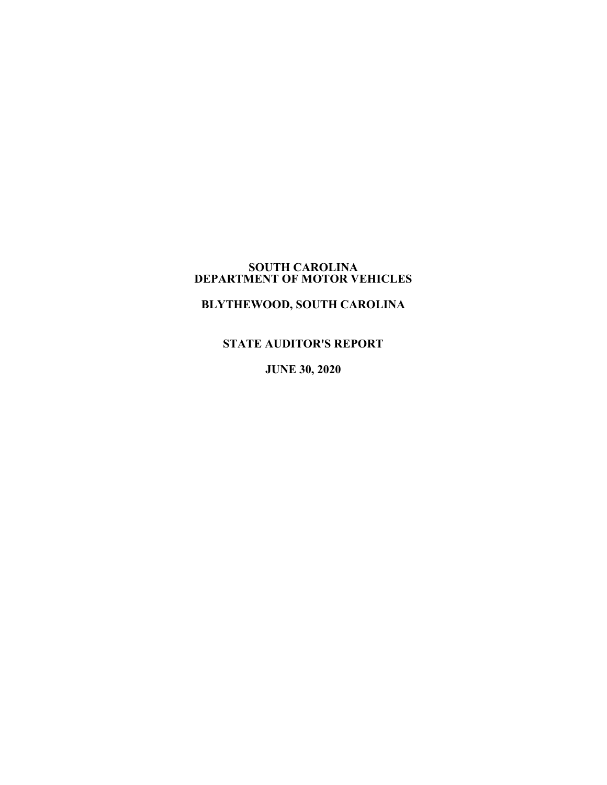#### **SOUTH CAROLINA DEPARTMENT OF MOTOR VEHICLES**

# **BLYTHEWOOD, SOUTH CAROLINA**

**STATE AUDITOR'S REPORT**

**JUNE 30, 2020**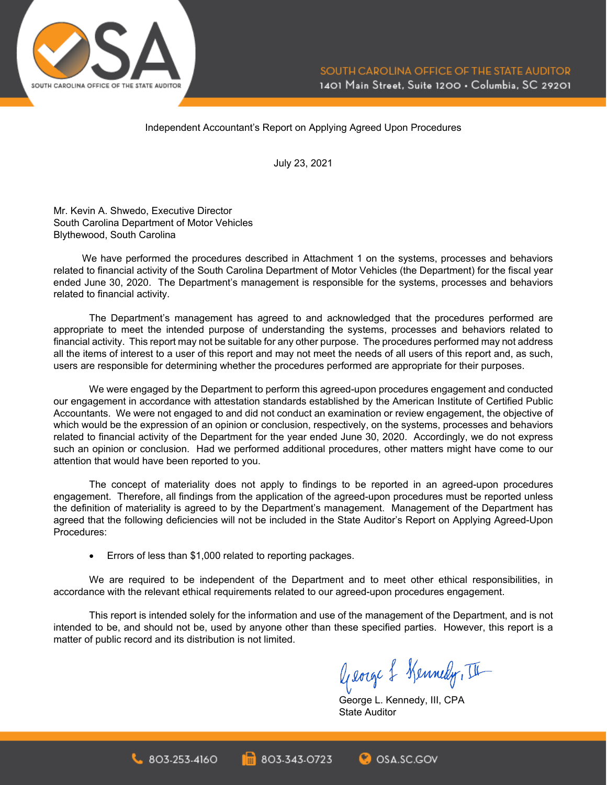

Independent Accountant's Report on Applying Agreed Upon Procedures

July 23, 2021

Mr. Kevin A. Shwedo, Executive Director South Carolina Department of Motor Vehicles Blythewood, South Carolina

We have performed the procedures described in Attachment 1 on the systems, processes and behaviors related to financial activity of the South Carolina Department of Motor Vehicles (the Department) for the fiscal year ended June 30, 2020. The Department's management is responsible for the systems, processes and behaviors related to financial activity.

The Department's management has agreed to and acknowledged that the procedures performed are appropriate to meet the intended purpose of understanding the systems, processes and behaviors related to financial activity. This report may not be suitable for any other purpose. The procedures performed may not address all the items of interest to a user of this report and may not meet the needs of all users of this report and, as such, users are responsible for determining whether the procedures performed are appropriate for their purposes.

We were engaged by the Department to perform this agreed-upon procedures engagement and conducted our engagement in accordance with attestation standards established by the American Institute of Certified Public Accountants. We were not engaged to and did not conduct an examination or review engagement, the objective of which would be the expression of an opinion or conclusion, respectively, on the systems, processes and behaviors related to financial activity of the Department for the year ended June 30, 2020. Accordingly, we do not express such an opinion or conclusion. Had we performed additional procedures, other matters might have come to our attention that would have been reported to you.

The concept of materiality does not apply to findings to be reported in an agreed-upon procedures engagement. Therefore, all findings from the application of the agreed-upon procedures must be reported unless the definition of materiality is agreed to by the Department's management. Management of the Department has agreed that the following deficiencies will not be included in the State Auditor's Report on Applying Agreed-Upon Procedures:

• Errors of less than \$1,000 related to reporting packages.

 $803.253.4160$ 

We are required to be independent of the Department and to meet other ethical responsibilities, in accordance with the relevant ethical requirements related to our agreed-upon procedures engagement.

This report is intended solely for the information and use of the management of the Department, and is not intended to be, and should not be, used by anyone other than these specified parties. However, this report is a matter of public record and its distribution is not limited.

803-343-0723

George & Kennedy, III

George L. Kennedy, III, CPA State Auditor

**O** OSA.SC.GOV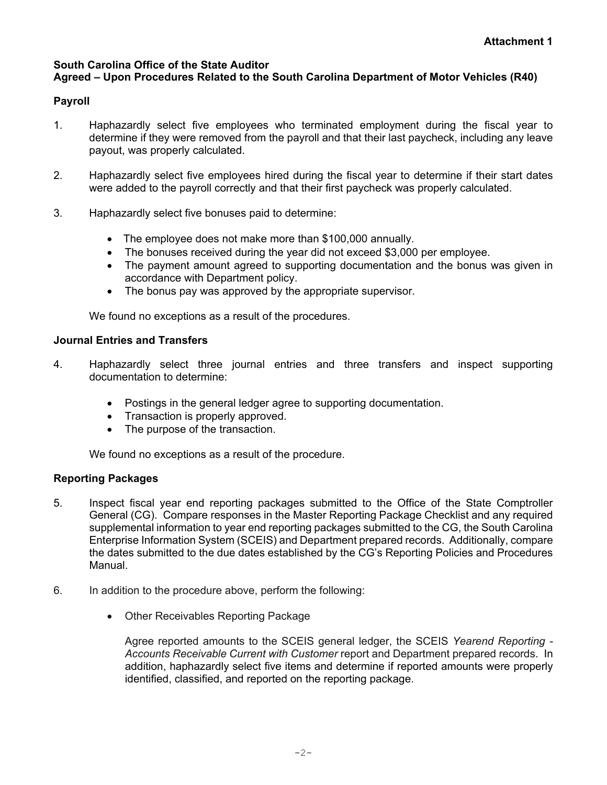#### **South Carolina Office of the State Auditor Agreed – Upon Procedures Related to the South Carolina Department of Motor Vehicles (R40)**

## **Payroll**

- 1. Haphazardly select five employees who terminated employment during the fiscal year to determine if they were removed from the payroll and that their last paycheck, including any leave payout, was properly calculated.
- 2. Haphazardly select five employees hired during the fiscal year to determine if their start dates were added to the payroll correctly and that their first paycheck was properly calculated.
- 3. Haphazardly select five bonuses paid to determine:
	- The employee does not make more than \$100,000 annually.
	- The bonuses received during the year did not exceed \$3,000 per employee.
	- The payment amount agreed to supporting documentation and the bonus was given in accordance with Department policy.
	- The bonus pay was approved by the appropriate supervisor.

We found no exceptions as a result of the procedures.

### **Journal Entries and Transfers**

- 4. Haphazardly select three journal entries and three transfers and inspect supporting documentation to determine:
	- Postings in the general ledger agree to supporting documentation.
	- Transaction is properly approved.
	- The purpose of the transaction.

We found no exceptions as a result of the procedure.

#### **Reporting Packages**

- 5. Inspect fiscal year end reporting packages submitted to the Office of the State Comptroller General (CG). Compare responses in the Master Reporting Package Checklist and any required supplemental information to year end reporting packages submitted to the CG, the South Carolina Enterprise Information System (SCEIS) and Department prepared records. Additionally, compare the dates submitted to the due dates established by the CG's Reporting Policies and Procedures Manual.
- 6. In addition to the procedure above, perform the following:
	- Other Receivables Reporting Package

Agree reported amounts to the SCEIS general ledger, the SCEIS *Yearend Reporting - Accounts Receivable Current with Customer* report and Department prepared records. In addition, haphazardly select five items and determine if reported amounts were properly identified, classified, and reported on the reporting package.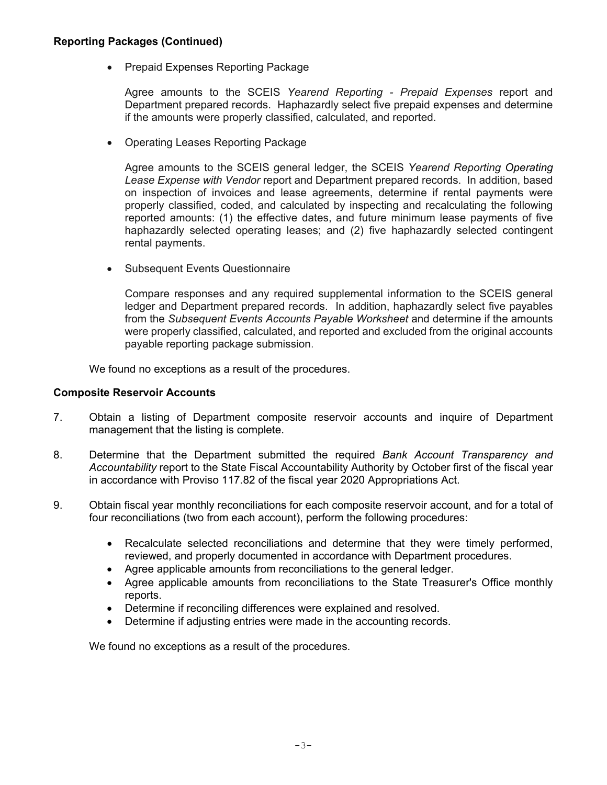#### **Reporting Packages (Continued)**

• Prepaid Expenses Reporting Package

Agree amounts to the SCEIS *Yearend Reporting - Prepaid Expenses* report and Department prepared records. Haphazardly select five prepaid expenses and determine if the amounts were properly classified, calculated, and reported.

• Operating Leases Reporting Package

Agree amounts to the SCEIS general ledger, the SCEIS *Yearend Reporting Operating Lease Expense with Vendor* report and Department prepared records. In addition, based on inspection of invoices and lease agreements, determine if rental payments were properly classified, coded, and calculated by inspecting and recalculating the following reported amounts: (1) the effective dates, and future minimum lease payments of five haphazardly selected operating leases; and (2) five haphazardly selected contingent rental payments.

• Subsequent Events Questionnaire

Compare responses and any required supplemental information to the SCEIS general ledger and Department prepared records. In addition, haphazardly select five payables from the *Subsequent Events Accounts Payable Worksheet* and determine if the amounts were properly classified, calculated, and reported and excluded from the original accounts payable reporting package submission.

We found no exceptions as a result of the procedures.

#### **Composite Reservoir Accounts**

- 7. Obtain a listing of Department composite reservoir accounts and inquire of Department management that the listing is complete.
- 8. Determine that the Department submitted the required *Bank Account Transparency and Accountability* report to the State Fiscal Accountability Authority by October first of the fiscal year in accordance with Proviso 117.82 of the fiscal year 2020 Appropriations Act.
- 9. Obtain fiscal year monthly reconciliations for each composite reservoir account, and for a total of four reconciliations (two from each account), perform the following procedures:
	- Recalculate selected reconciliations and determine that they were timely performed, reviewed, and properly documented in accordance with Department procedures.
	- Agree applicable amounts from reconciliations to the general ledger.
	- Agree applicable amounts from reconciliations to the State Treasurer's Office monthly reports.
	- Determine if reconciling differences were explained and resolved.
	- Determine if adjusting entries were made in the accounting records.

We found no exceptions as a result of the procedures.